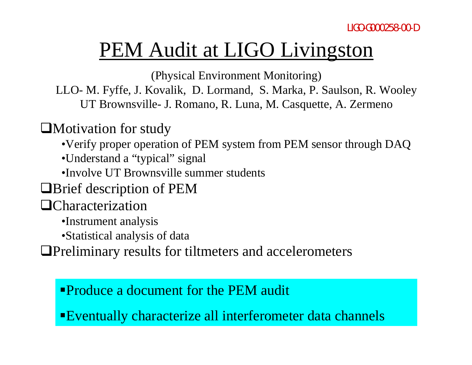# PEM Audit at LIGO Livingston

(Physical Environment Monitoring)

LLO- M. Fyffe, J. Kovalik, D. Lormand, S. Marka, P. Saulson, R. Wooley UT Brownsville- J. Romano, R. Luna, M. Casquette, A. Zermeno

#### $\Box$ Motivation for study

•Verify proper operation of PEM system from PEM sensor through DAQ

- •Understand a "typical" signal
- •Involve UT Brownsville summer students

**Example 3** Description of PEM

 $\Box$ Characterization

•Instrument analysis

•Statistical analysis of data

**I.** Preliminary results for tiltmeters and accelerometers

**Produce a document for the PEM audit** 

"Eventually characterize all interferometer data channels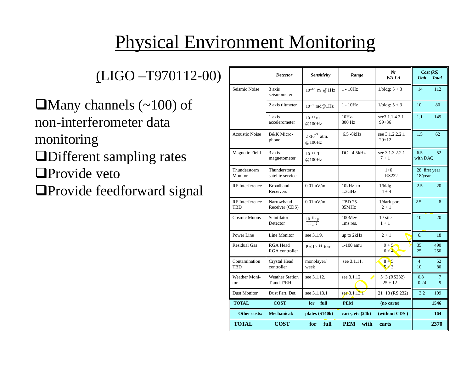# Physical Environment Monitoring

(LIGO –T970112-00)

 $\Box$ Many channels (~100) of non-interferometer data monitoring **I**Different sampling rates ■Provide veto

**I**Provide feedforward signal

|                         | <b>Detector</b>                      | Sensitivity                             | Range                   | Nr<br>WA LA                 | $Cost(k\$<br>Unit<br><b>Total</b>  |
|-------------------------|--------------------------------------|-----------------------------------------|-------------------------|-----------------------------|------------------------------------|
| Seismic Noise           | 3 axis<br>seismometer                | $10^{-10}$ m @ 1Hz                      | $1 - 10Hz$              | $1/b$ ldg: $5 + 3$          | 14<br>112                          |
|                         | 2 axis tiltmeter                     | $10^{-9}$ rad@ 1Hz                      | $1 - 10Hz$              | $1/bldg: 5 + 3$             | 10<br>80                           |
|                         | 1 axis<br>accelerometer              | $10^{-11}$ m<br>@100Hz                  | $10Hz-$<br>800 Hz       | see3.1.1.4.2.1<br>$99 + 36$ | 1.1<br>149                         |
| <b>Acoustic Noise</b>   | <b>B&amp;K</b> Micro-<br>phone       | $2\times10^{-9}$ atm.<br>@100Hz         | $6.5 - 8kHz$            | see 3.1.2.2.2.1<br>$29+12$  | 1.5<br>62                          |
| <b>Magnetic Field</b>   | 3 axis<br>magnetometer               | $10^{-11}$ T<br>@100Hz                  | $DC - 4.5kHz$           | see 3.1.3.2.2.1<br>$7 + 1$  | 6.5<br>52<br>with DAO              |
| Thunderstorm<br>Monitor | Thunderstorm<br>satelite service     |                                         |                         | $1+0$<br><b>RS232</b>       | 28 first year<br>18/year           |
| <b>RF</b> Interference  | <b>Broadband</b><br>Receivers        | $0.01$ m $V/m$                          | 10kHz to<br>1.3GHz      | $1/b$ ldg<br>$4 + 4$        | 2.5<br>20                          |
| RF Interference<br>TBD  | Narrowband<br>Receiver (CDS)         | $0.01$ m $V/m$                          | <b>TBD 25-</b><br>35MHz | 1/dark port<br>$2 + 1$      | 2.5<br>8                           |
| <b>Cosmic Muons</b>     | Scintilator<br>Detector              | $\frac{10^{-6} \cdot \mu}{s \cdot m^2}$ | 100Mev<br>1 ms res.     | $1 /$ site<br>$1 + 1$       | 10<br>20                           |
| Power Line              | Line Monitor                         | see 3.1.9.                              | up to 2kHz              | $2 + 1$                     | 6.<br>18                           |
| <b>Residual Gas</b>     | <b>RGA Head</b><br>RGA controller    | $P \le 10^{-14}$ torr                   | 1-100 amu               | $9 + 5$<br>$6 + 4$          | 35<br>490<br>25<br>250             |
| Contamination<br>TBD    | Crystal Head<br>controller           | monolayer/<br>week                      | see 3.1.11.             | $8+5$<br>$5+3$              | $\overline{4}$<br>52<br>10<br>80   |
| Weather Moni-<br>tor    | <b>Weather Station</b><br>T and T/RH | see 3.1.12.                             | see 3.1.12.             | 5+3 (RS232)<br>$25 + 12$    | 0.8<br>$\overline{7}$<br>0.24<br>9 |
| Dust Monitor            | Dust Part. Det.                      | see 3.1.13.1                            | see $3.1.13.1$          | $21+13$ (RS 232)            | 3.2<br>109                         |
| <b>TOTAL</b>            | <b>COST</b>                          | full<br>for                             | <b>PEM</b>              | (no carts)                  | 1546                               |
| Other costs:            | <b>Mechanical:</b>                   | plates $(\$140k)$                       | carts, etc $(24k)$      | (without CDS)               | 164                                |
| <b>TOTAL</b>            | <b>COST</b>                          | for<br>full                             | <b>PEM</b><br>with      | carts                       | 2370                               |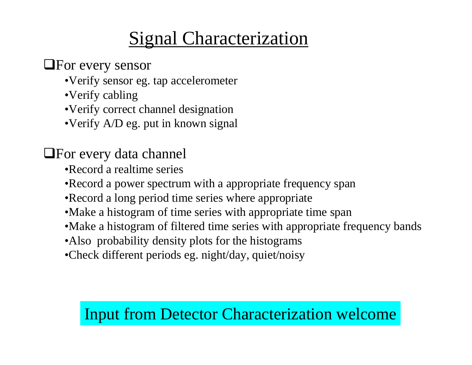## Signal Characterization

#### **QFor every sensor**

- •Verify sensor eg. tap accelerometer
- •Verify cabling
- •Verify correct channel designation
- •Verify A/D eg. put in known signal

#### $\Box$  For every data channel

- •Record a realtime series
- •Record a power spectrum with a appropriate frequency span
- •Record a long period time series where appropriate
- •Make a histogram of time series with appropriate time span
- •Make a histogram of filtered time series with appropriate frequency bands
- •Also probability density plots for the histograms
- •Check different periods eg. night/day, quiet/noisy

### Input from Detector Characterization welcome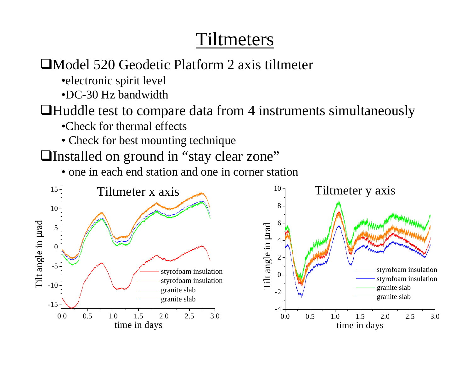### Tiltmeters

#### ■Model 520 Geodetic Platform 2 axis tiltmeter

•electronic spirit level

•DC-30 Hz bandwidth

 $\Box$  Huddle test to compare data from 4 instruments simultaneously

- •Check for thermal effects
- Check for best mounting technique
- □Installed on ground in "stay clear zone"
	- one in each end station and one in corner station

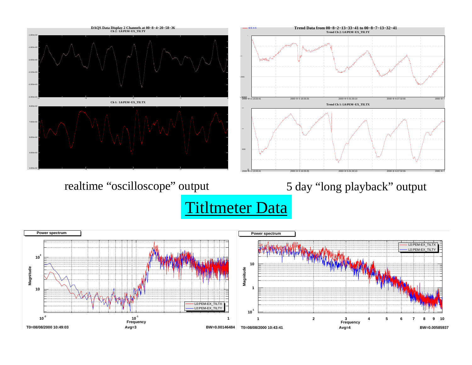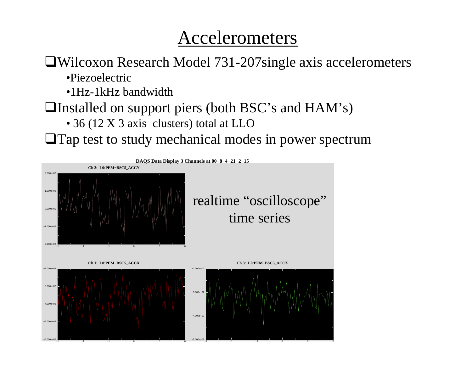### Accelerometers

 $\Box$ Wilcoxon Research Model 731-207single axis accelerometers

•Piezoelectric

•1Hz-1kHz bandwidth

**I**Installed on support piers (both BSC's and  $HAM's$ )

• 36 (12 X 3 axis clusters) total at LLO

**The Tap test to study mechanical modes in power spectrum**